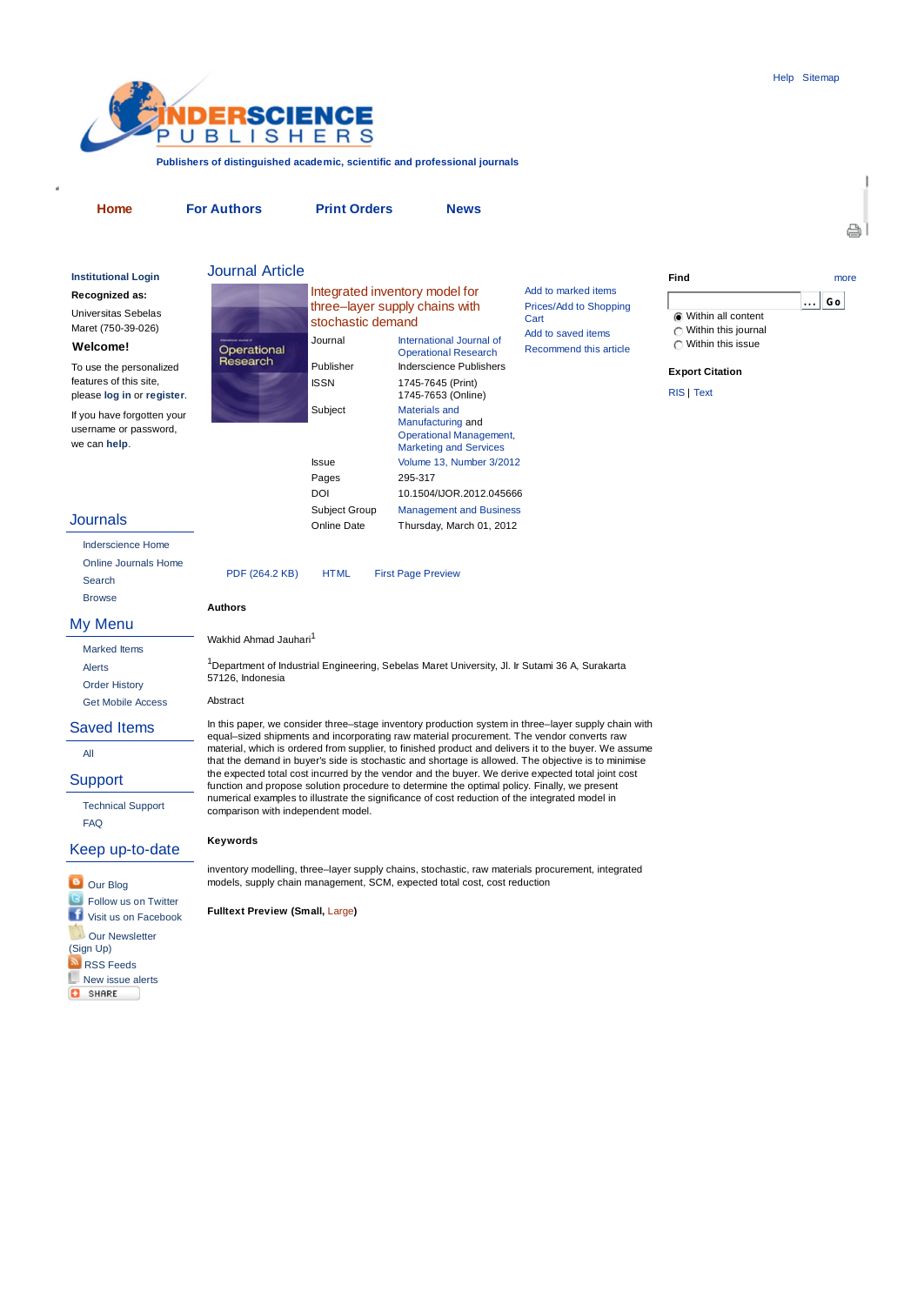A



**Publishers of distinguished academic, scientific and professional journals**

**Recognized as:** Universitas Sebelas Maret (750-39-026) **Welcome!** To use the personalized features of this site, please **log in** or **register**. If you have forgotten your username or password, we can **help**.

**Authors**

Wakhid Ahmad Jauhari<sup>1</sup>

Operational<br>Research

57126, Indonesia Abstract

**Keywords**

**Home For Authors Print Orders News**

Operational Research

1745-7653 (Online)

Manufacturing and Operational Management, Marketing and Services

**Institutional Login** and **JOUINAL ARTICIE** and **Institutional Login** and **The Contract of Transformational Login** and the more Journal Article Integrated inventory model for

stochastic demand

three–layer supply chains with

Subject Materials and

Pages 295-317

PDF (264.2 KB) HTML First Page Preview

Journal International Journal of

Publisher Inderscience Publishers ISSN 1745-7645 (Print)

Issue Volume 13, Number 3/2012

DOI 10.1504/IJOR.2012.045666 Subject Group Management and Business Online Date Thursday, March 01, 2012

<sup>1</sup>Department of Industrial Engineering, Sebelas Maret University, Jl. Ir Sutami 36 A, Surakarta

In this paper, we consider three–stage inventory production system in three–layer supply chain with equal–sized shipments and incorporating raw material procurement. The vendor converts raw material, which is ordered from supplier, to finished product and delivers it to the buyer. We assume that the demand in buyer's side is stochastic and shortage is allowed. The objective is to minimise the expected total cost incurred by the vendor and the buyer. We derive expected total joint cost function and propose solution procedure to determine the optimal policy. Finally, we present numerical examples to illustrate the significance of cost reduction of the integrated model in

| Add to marked items    |
|------------------------|
| Prices/Add to Shopping |
| Cart                   |
| Add to saved items     |
| Recommend this article |

# **Find**

**. . . Go** Within all content Within this journal Within this issue

## **Export Citation**

RIS | Text

- **Journals** 
	- Inderscience Home Online Journals Home Search Browse

# My Menu

Marked Items Alerts Order History Get Mobile Access

Saved Items

All

**Support** 

Technical Support FAQ

Keep up-to-date



inventory modelling, three–layer supply chains, stochastic, raw materials procurement, integrated models, supply chain management, SCM, expected total cost, cost reduction

**Fulltext Preview (Small,** Large**)**

comparison with independent model.